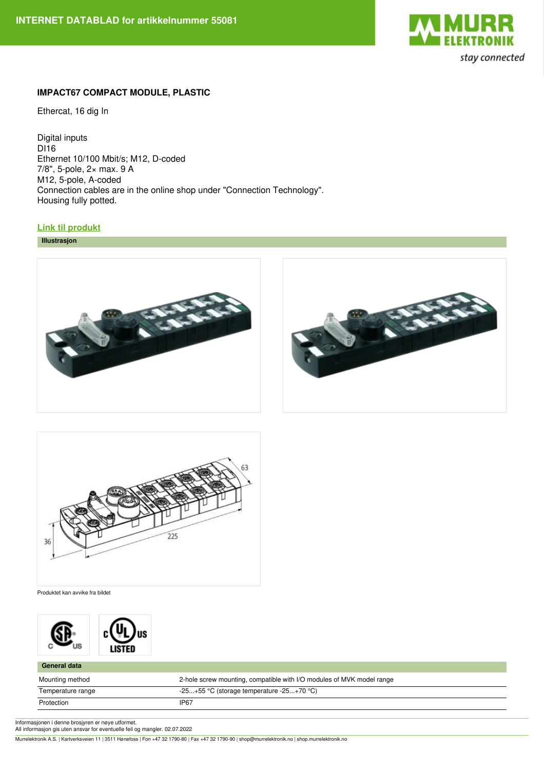

## **IMPACT67 COMPACT MODULE, PLASTIC**

Ethercat, 16 dig In

Digital inputs DI<sub>16</sub> Ethernet 10/100 Mbit/s; M12, D-coded 7/8", 5-pole, 2× max. 9 A M12, 5-pole, A-coded Connection cables are in the online shop under "Connection Technology". Housing fully potted.

## **Link til [produkt](https://shop.murrelektronik.no/55081?lang=15)**

**Illustrasjon**







Produktet kan avvike fra bildet



| <b>General data</b> |                                                                       |
|---------------------|-----------------------------------------------------------------------|
| Mounting method     | 2-hole screw mounting, compatible with I/O modules of MVK model range |
| Temperature range   | $-25+55$ °C (storage temperature $-25+70$ °C)                         |
| Protection          | IP67                                                                  |

Informasjonen i denne brosjyren er nøye utformet.

All informasjon gis uten ansvar for eventuelle feil og mangler. 02.07.2022

Murrelektronik A.S. | Kartverksveien 11 | 3511 Hønefoss | Fon +47 32 1790-80 | Fax +47 32 1790-90 | shop@murrelektronik.no | shop.murrelektronik.no